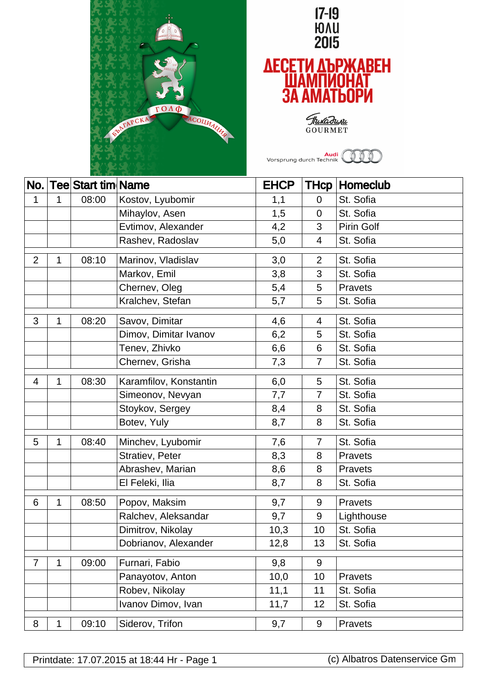



Thukadunu

**Audi**<br>Vorsprung durch Technik **OOO** 

|                |   | No. Tee Start tim Name |                        | <b>EHCP</b> |                         | <b>THcp   Homeclub</b> |
|----------------|---|------------------------|------------------------|-------------|-------------------------|------------------------|
| 1              | 1 | 08:00                  | Kostov, Lyubomir       | 1,1         | $\overline{0}$          | St. Sofia              |
|                |   |                        | Mihaylov, Asen         | 1,5         | $\overline{0}$          | St. Sofia              |
|                |   |                        | Evtimov, Alexander     | 4,2         | 3                       | <b>Pirin Golf</b>      |
|                |   |                        | Rashev, Radoslav       | 5,0         | $\overline{\mathbf{4}}$ | St. Sofia              |
| $\overline{2}$ | 1 | 08:10                  | Marinov, Vladislav     | 3,0         | $\overline{2}$          | St. Sofia              |
|                |   |                        | Markov, Emil           | 3,8         | 3                       | St. Sofia              |
|                |   |                        | Chernev, Oleg          | 5,4         | 5                       | Pravets                |
|                |   |                        | Kralchev, Stefan       | 5,7         | 5                       | St. Sofia              |
| 3              | 1 | 08:20                  | Savov, Dimitar         | 4,6         | 4                       | St. Sofia              |
|                |   |                        | Dimov, Dimitar Ivanov  | 6,2         | 5                       | St. Sofia              |
|                |   |                        | Tenev, Zhivko          | 6,6         | 6                       | St. Sofia              |
|                |   |                        | Chernev, Grisha        | 7,3         | 7                       | St. Sofia              |
| 4              | 1 | 08:30                  | Karamfilov, Konstantin | 6,0         | 5                       | St. Sofia              |
|                |   |                        | Simeonov, Nevyan       | 7,7         | $\overline{7}$          | St. Sofia              |
|                |   |                        | Stoykov, Sergey        | 8,4         | 8                       | St. Sofia              |
|                |   |                        | Botev, Yuly            | 8,7         | 8                       | St. Sofia              |
| 5              | 1 | 08:40                  | Minchev, Lyubomir      | 7,6         | 7                       | St. Sofia              |
|                |   |                        | Stratiev, Peter        | 8,3         | 8                       | Pravets                |
|                |   |                        | Abrashev, Marian       | 8,6         | 8                       | Pravets                |
|                |   |                        | El Feleki, Ilia        | 8,7         | 8                       | St. Sofia              |
| 6              | 1 | 08:50                  | Popov, Maksim          | 9,7         | 9                       | Pravets                |
|                |   |                        | Ralchev, Aleksandar    | 9,7         | 9                       | Lighthouse             |
|                |   |                        | Dimitrov, Nikolay      | 10,3        | 10                      | St. Sofia              |
|                |   |                        | Dobrianov, Alexander   | 12,8        | 13                      | St. Sofia              |
| $\overline{7}$ | 1 | 09:00                  | Furnari, Fabio         | 9,8         | 9                       |                        |
|                |   |                        | Panayotov, Anton       | 10,0        | 10                      | Pravets                |
|                |   |                        | Robev, Nikolay         | 11,1        | 11                      | St. Sofia              |
|                |   |                        | Ivanov Dimov, Ivan     | 11,7        | 12                      | St. Sofia              |
| 8              | 1 | 09:10                  | Siderov, Trifon        | 9,7         | 9                       | Pravets                |

Printdate: 17.07.2015 at 18:44 Hr - Page 1 (c) Albatros Datenservice Gm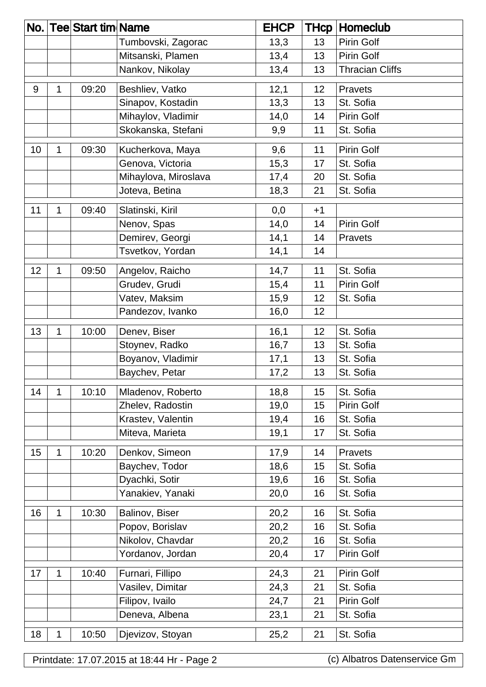|   |       |                      | <b>EHCP</b>                                   | <b>THcp</b> | Homeclub               |
|---|-------|----------------------|-----------------------------------------------|-------------|------------------------|
|   |       | Tumbovski, Zagorac   | 13,3                                          | 13          | <b>Pirin Golf</b>      |
|   |       | Mitsanski, Plamen    | 13,4                                          | 13          | Pirin Golf             |
|   |       | Nankov, Nikolay      | 13,4                                          | 13          | <b>Thracian Cliffs</b> |
| 1 | 09:20 | Beshliev, Vatko      | 12,1                                          | 12          | Pravets                |
|   |       | Sinapov, Kostadin    | 13,3                                          | 13          | St. Sofia              |
|   |       | Mihaylov, Vladimir   | 14,0                                          | 14          | Pirin Golf             |
|   |       | Skokanska, Stefani   | 9,9                                           | 11          | St. Sofia              |
| 1 | 09:30 | Kucherkova, Maya     | 9,6                                           | 11          | Pirin Golf             |
|   |       | Genova, Victoria     | 15,3                                          | 17          | St. Sofia              |
|   |       | Mihaylova, Miroslava | 17,4                                          | 20          | St. Sofia              |
|   |       | Joteva, Betina       | 18,3                                          | 21          | St. Sofia              |
| 1 | 09:40 | Slatinski, Kiril     | 0,0                                           | $+1$        |                        |
|   |       | Nenov, Spas          | 14,0                                          | 14          | Pirin Golf             |
|   |       | Demirev, Georgi      | 14,1                                          | 14          | <b>Pravets</b>         |
|   |       | Tsvetkov, Yordan     | 14,1                                          | 14          |                        |
| 1 | 09:50 | Angelov, Raicho      | 14,7                                          | 11          | St. Sofia              |
|   |       | Grudev, Grudi        | 15,4                                          | 11          | <b>Pirin Golf</b>      |
|   |       | Vatev, Maksim        | 15,9                                          | 12          | St. Sofia              |
|   |       | Pandezov, Ivanko     | 16,0                                          | 12          |                        |
| 1 | 10:00 | Denev, Biser         | 16,1                                          | 12          | St. Sofia              |
|   |       |                      | 16,7                                          | 13          | St. Sofia              |
|   |       | Boyanov, Vladimir    | 17,1                                          | 13          | St. Sofia              |
|   |       | Baychev, Petar       | 17,2                                          | 13          | St. Sofia              |
| 1 | 10:10 | Mladenov, Roberto    | 18,8                                          | 15          | St. Sofia              |
|   |       | Zhelev, Radostin     | 19,0                                          | 15          | Pirin Golf             |
|   |       | Krastev, Valentin    | 19,4                                          | 16          | St. Sofia              |
|   |       | Miteva, Marieta      | 19,1                                          | 17          | St. Sofia              |
| 1 | 10:20 | Denkov, Simeon       | 17,9                                          | 14          | Pravets                |
|   |       | Baychev, Todor       | 18,6                                          | 15          | St. Sofia              |
|   |       | Dyachki, Sotir       | 19,6                                          | 16          | St. Sofia              |
|   |       | Yanakiev, Yanaki     | 20,0                                          | 16          | St. Sofia              |
| 1 | 10:30 | Balinov, Biser       | 20,2                                          | 16          | St. Sofia              |
|   |       | Popov, Borislav      | 20,2                                          | 16          | St. Sofia              |
|   |       | Nikolov, Chavdar     | 20,2                                          | 16          | St. Sofia              |
|   |       | Yordanov, Jordan     | 20,4                                          | 17          | Pirin Golf             |
| 1 | 10:40 | Furnari, Fillipo     | 24,3                                          | 21          | Pirin Golf             |
|   |       | Vasilev, Dimitar     | 24,3                                          | 21          | St. Sofia              |
|   |       | Filipov, Ivailo      | 24,7                                          | 21          | Pirin Golf             |
|   |       | Deneva, Albena       | 23,1                                          | 21          | St. Sofia              |
| 1 | 10:50 | Djevizov, Stoyan     | 25,2                                          | 21          | St. Sofia              |
|   |       |                      | No.   Tee  Start tim   Name<br>Stoynev, Radko |             |                        |

Printdate: 17.07.2015 at 18:44 Hr - Page 2 (c) Albatros Datenservice Gm